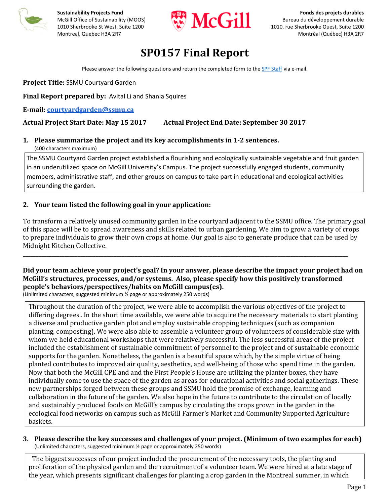



# **SP0157 Final Report**

Please answer the following questions and return the completed form to the SPF Staff via e‐mail.

**Project Title:** SSMU Courtyard Garden

**Final Report prepared by:** Avital Li and Shania Squires

**E‐mail: courtyardgarden@ssmu.ca** 

## **Actual Project Start Date: May 15 2017 Actual Project End Date: September 30 2017**

# **1. Please summarize the project and its key accomplishments in 1‐2 sentences.**

(400 characters maximum)

The SSMU Courtyard Garden project established a flourishing and ecologically sustainable vegetable and fruit garden in an underutilized space on McGill University's Campus. The project successfully engaged students, community members, administrative staff, and other groups on campus to take part in educational and ecological activities surrounding the garden.

## **2. Your team listed the following goal in your application:**

To transform a relatively unused community garden in the courtyard adjacent to the SSMU office. The primary goal of this space will be to spread awareness and skills related to urban gardening. We aim to grow a variety of crops to prepare individuals to grow their own crops at home. Our goal is also to generate produce that can be used by Midnight Kitchen Collective.

## Did your team achieve your project's goal? In your answer, please describe the impact your project had on **McGill's structures, processes, and/or systems. Also, please specify how this positively transformed people's behaviors/perspectives/habits on McGill campus(es).**

**\_\_\_\_\_\_\_\_\_\_\_\_\_\_\_\_\_\_\_\_\_\_\_\_\_\_\_\_\_\_\_\_\_\_\_\_\_\_\_\_\_\_\_\_\_\_\_\_\_\_\_\_\_\_\_\_\_\_\_\_\_\_\_\_\_\_\_\_\_\_\_\_\_\_\_\_\_\_\_\_\_\_\_\_\_\_\_\_\_\_\_\_\_\_\_\_\_\_\_\_\_\_\_\_\_\_\_\_\_\_\_\_\_\_\_\_\_\_\_\_\_\_\_\_\_**

(Unlimited characters, suggested minimum ½ page or approximately 250 words)

Throughout the duration of the project, we were able to accomplish the various objectives of the project to differing degrees.. In the short time available, we were able to acquire the necessary materials to start planting a diverse and productive garden plot and employ sustainable cropping techniques (such as companion planting, composting). We were also able to assemble a volunteer group of volunteers of considerable size with whom we held educational workshops that were relatively successful. The less successful areas of the project included the establishment of sustainable commitment of personnel to the project and of sustainable economic supports for the garden. Nonetheless, the garden is a beautiful space which, by the simple virtue of being planted contributes to improved air quality, aesthetics, and well-being of those who spend time in the garden. Now that both the McGill CPE and and the First People's House are utilizing the planter boxes, they have individually come to use the space of the garden as areas for educational activities and social gatherings. These new partnerships forged between these groups and SSMU hold the promise of exchange, learning and collaboration in the future of the garden. We also hope in the future to contribute to the circulation of locally and sustainably produced foods on McGill's campus by circulating the crops grown in the garden in the ecological food networks on campus such as McGill Farmer's Market and Community Supported Agriculture baskets. 

#### **3. Please describe the key successes and challenges of your project. (Minimum of two examples for each)** (Unlimited characters, suggested minimum ½ page or approximately 250 words)

The biggest successes of our project included the procurement of the necessary tools, the planting and proliferation of the physical garden and the recruitment of a volunteer team. We were hired at a late stage of the year, which presents significant challenges for planting a crop garden in the Montreal summer, in which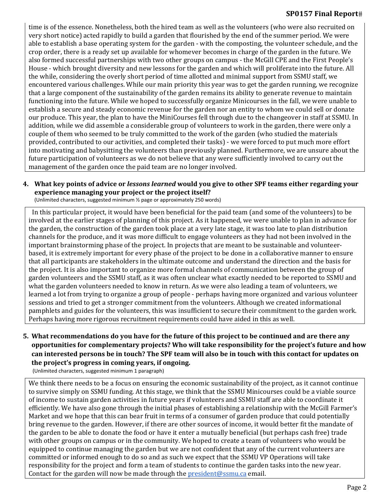### **SP0157 Final Report**

time is of the essence. Nonetheless, both the hired team as well as the volunteers (who were also recruited on very short notice) acted rapidly to build a garden that flourished by the end of the summer period. We were able to establish a base operating system for the garden - with the composting, the volunteer schedule, and the crop order, there is a ready set up available for whomever becomes in charge of the garden in the future. We also formed successful partnerships with two other groups on campus - the McGill CPE and the First People's House - which brought diversity and new lessons for the garden and which will proliferate into the future. All the while, considering the overly short period of time allotted and minimal support from SSMU staff, we encountered various challenges. While our main priority this year was to get the garden running, we recognize that a large component of the sustainability of the garden remains its ability to generate revenue to maintain functioning into the future. While we hoped to successfully organize Minicourses in the fall, we were unable to establish a secure and steady economic revenue for the garden nor an entity to whom we could sell or donate our produce. This year, the plan to have the MiniCourses fell through due to the changeover in staff at SSMU. In addition, while we did assemble a considerable group of volunteers to work in the garden, there were only a couple of them who seemed to be truly committed to the work of the garden (who studied the materials provided, contributed to our activities, and completed their tasks) - we were forced to put much more effort into motivating and babysitting the volunteers than previously planned. Furthermore, we are unsure about the future participation of volunteers as we do not believe that any were sufficiently involved to carry out the management of the garden once the paid team are no longer involved.

## 4. What key points of advice or lessons learned would you give to other SPF teams either regarding your **experience managing your project or the project itself?**

(Unlimited characters, suggested minimum ½ page or approximately 250 words)

In this particular project, it would have been beneficial for the paid team (and some of the volunteers) to be involved at the earlier stages of planning of this project. As it happened, we were unable to plan in advance for the garden, the construction of the garden took place at a very late stage, it was too late to plan distribution channels for the produce, and it was more difficult to engage volunteers as they had not been involved in the important brainstorming phase of the project. In projects that are meant to be sustainable and volunteerbased, it is extremely important for every phase of the project to be done in a collaborative manner to ensure that all participants are stakeholders in the ultimate outcome and understand the direction and the basis for the project. It is also important to organize more formal channels of communication between the group of garden volunteers and the SSMU staff, as it was often unclear what exactly needed to be reported to SSMU and what the garden volunteers needed to know in return. As we were also leading a team of volunteers, we learned a lot from trying to organize a group of people - perhaps having more organized and various volunteer sessions and tried to get a stronger commitment from the volunteers. Although we created informational pamphlets and guides for the volunteers, this was insufficient to secure their commitment to the garden work. Perhaps having more rigorous recruitment requirements could have aided in this as well.

## 5. What recommendations do you have for the future of this project to be continued and are there any **opportunities for complementary projects? Who will take responsibility for the project's future and how** can interested persons be in touch? The SPF team will also be in touch with this contact for updates on **the project's progress in coming years, if ongoing.**

(Unlimited characters, suggested minimum 1 paragraph)

We think there needs to be a focus on ensuring the economic sustainability of the project, as it cannot continue to survive simply on SSMU funding. At this stage, we think that the SSMU Minicourses could be a viable source of income to sustain garden activities in future years if volunteers and SSMU staff are able to coordinate it efficiently. We have also gone through the initial phases of establishing a relationship with the McGill Farmer's Market and we hope that this can bear fruit in terms of a consumer of garden produce that could potentially bring revenue to the garden. However, if there are other sources of income, it would better fit the mandate of the garden to be able to donate the food or have it enter a mutually beneficial (but perhaps cash free) trade with other groups on campus or in the community. We hoped to create a team of volunteers who would be equipped to continue managing the garden but we are not confident that any of the current volunteers are committed or informed enough to do so and as such we expect that the SSMU VP Operations will take responsibility for the project and form a team of students to continue the garden tasks into the new year. Contact for the garden will now be made through the president@ssmu.ca email.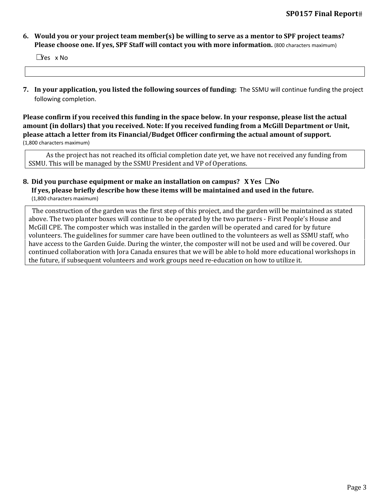#### 6. Would you or your project team member(s) be willing to serve as a mentor to SPF project teams? **Please choose one. If yes, SPF Staff will contact you with more information.** (800 characters maximum)

 $\square$ Yes  $\times$  No

**7. In your application, you listed the following sources of funding:** The SSMU will continue funding the project following completion.

Please confirm if you received this funding in the space below. In your response, please list the actual **amount (in dollars) that you received. Note: If you received funding from a McGill Department or Unit, please attach a letter from its Financial/Budget Officer confirming the actual amount of support.** (1,800 characters maximum)

As the project has not reached its official completion date yet, we have not received any funding from SSMU. This will be managed by the SSMU President and VP of Operations.

#### **8. Did you purchase equipment or make an installation on campus? X Yes** ☐**No If yes, please briefly describe how these items will be maintained and used in the future.** (1,800 characters maximum)

The construction of the garden was the first step of this project, and the garden will be maintained as stated above. The two planter boxes will continue to be operated by the two partners - First People's House and McGill CPE. The composter which was installed in the garden will be operated and cared for by future volunteers. The guidelines for summer care have been outlined to the volunteers as well as SSMU staff, who have access to the Garden Guide. During the winter, the composter will not be used and will be covered. Our continued collaboration with Jora Canada ensures that we will be able to hold more educational workshops in the future, if subsequent volunteers and work groups need re-education on how to utilize it.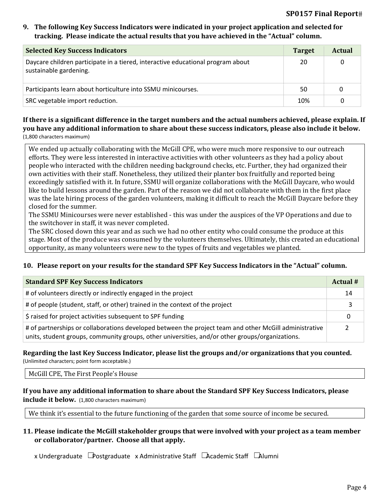#### **9. The following Key Success Indicators were indicated in your project application and selected for tracking. Please indicate the actual results that you have achieved in the "Actual" column.**

| <b>Selected Key Success Indicators</b>                                                                    | <b>Target</b> | Actual |
|-----------------------------------------------------------------------------------------------------------|---------------|--------|
| Daycare children participate in a tiered, interactive educational program about<br>sustainable gardening. | 20            |        |
| Participants learn about horticulture into SSMU minicourses.                                              | 50            | 0      |
| SRC vegetable import reduction.                                                                           | 10%           |        |

#### If there is a significant difference in the target numbers and the actual numbers achieved, please explain. If you have any additional information to share about these success indicators, please also include it below. (1,800 characters maximum)

We ended up actually collaborating with the McGill CPE, who were much more responsive to our outreach efforts. They were less interested in interactive activities with other volunteers as they had a policy about people who interacted with the children needing background checks, etc. Further, they had organized their own activities with their staff. Nonetheless, they utilized their planter box fruitfully and reported being exceedingly satisfied with it. In future, SSMU will organize collaborations with the McGill Daycare, who would like to build lessons around the garden. Part of the reason we did not collaborate with them in the first place was the late hiring process of the garden volunteers, making it difficult to reach the McGill Daycare before they closed for the summer.

The SSMU Minicourses were never established - this was under the auspices of the VP Operations and due to the switchover in staff, it was never completed.

The SRC closed down this year and as such we had no other entity who could consume the produce at this stage. Most of the produce was consumed by the volunteers themselves. Ultimately, this created an educational opportunity, as many volunteers were new to the types of fruits and vegetables we planted.

#### **10. Please report on your results for the standard SPF Key Success Indicators in the "Actual" column.**

| <b>Standard SPF Key Success Indicators</b>                                                                                                                                                                | Actual # |
|-----------------------------------------------------------------------------------------------------------------------------------------------------------------------------------------------------------|----------|
| # of volunteers directly or indirectly engaged in the project                                                                                                                                             | 14       |
| # of people (student, staff, or other) trained in the context of the project                                                                                                                              |          |
| \$ raised for project activities subsequent to SPF funding                                                                                                                                                | 0        |
| # of partnerships or collaborations developed between the project team and other McGill administrative<br>units, student groups, community groups, other universities, and/or other groups/organizations. |          |

#### **Regarding the last Key Success Indicator, please list the groups and/or organizations that you counted.** (Unlimited characters; point form acceptable.)

#### McGill CPE, The First People's House

## **If you have any additional information to share about the Standard SPF Key Success Indicators, please include it below.** (1,800 characters maximum)

We think it's essential to the future functioning of the garden that some source of income be secured.

#### **11. Please indicate the McGill stakeholder groups that were involved with your project as a team member or collaborator/partner. Choose all that apply.**

x Undergraduate ☐Postgraduate x Administrative Staff ☐ ☐ Academic Staff Alumni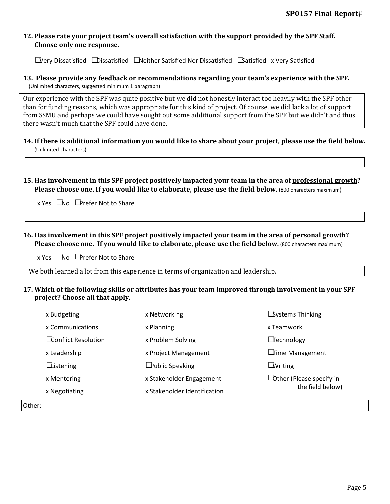#### **12. Please rate your project team's overall satisfaction with the support provided by the SPF Staff. Choose only one response.**

 $\Box$ Very Dissatisfied  $\Box$ Dissatisfied  $\Box$ Neither Satisfied Nor Dissatisfied  $\Box$ Satisfied x Very Satisfied

#### **13. Please provide any feedback or recommendations regarding your team's experience with the SPF.** (Unlimited characters, suggested minimum 1 paragraph)

Our experience with the SPF was quite positive but we did not honestly interact too heavily with the SPF other than for funding reasons, which was appropriate for this kind of project. Of course, we did lack a lot of support from SSMU and perhaps we could have sought out some additional support from the SPF but we didn't and thus there wasn't much that the SPF could have done.

- 14. If there is additional information you would like to share about your project, please use the field below. (Unlimited characters)
- 15. Has involvement in this SPF project positively impacted your team in the area of professional growth? **Please choose one. If you would like to elaborate, please use the field below.** (800 characters maximum)

 $x$  Yes  $\Box$ No  $\Box$ Prefer Not to Share

**16. Has involvement in this SPF project positively impacted your team in the area of personal growth? Please choose one. If you would like to elaborate, please use the field below.** (800 characters maximum)

 $x$  Yes  $\Box$  No  $\Box$  Prefer Not to Share

We both learned a lot from this experience in terms of organization and leadership.

#### **17. Which of the following skills or attributes has your team improved through involvement in your SPF project? Choose all that apply.**

| x Budgeting                | x Networking                 | $\square$ Systems Thinking      |  |
|----------------------------|------------------------------|---------------------------------|--|
| x Communications           | x Planning                   | x Teamwork                      |  |
| $\Box$ Conflict Resolution | x Problem Solving            | $\Box$ echnology                |  |
| x Leadership               | x Project Management         | □ ime Management                |  |
| $\Box$ istening            | <b>Public Speaking</b>       | $\Box$ Writing                  |  |
| x Mentoring                | x Stakeholder Engagement     | $\Box$ Other (Please specify in |  |
| x Negotiating              | x Stakeholder Identification | the field below)                |  |
|                            |                              |                                 |  |

Other: